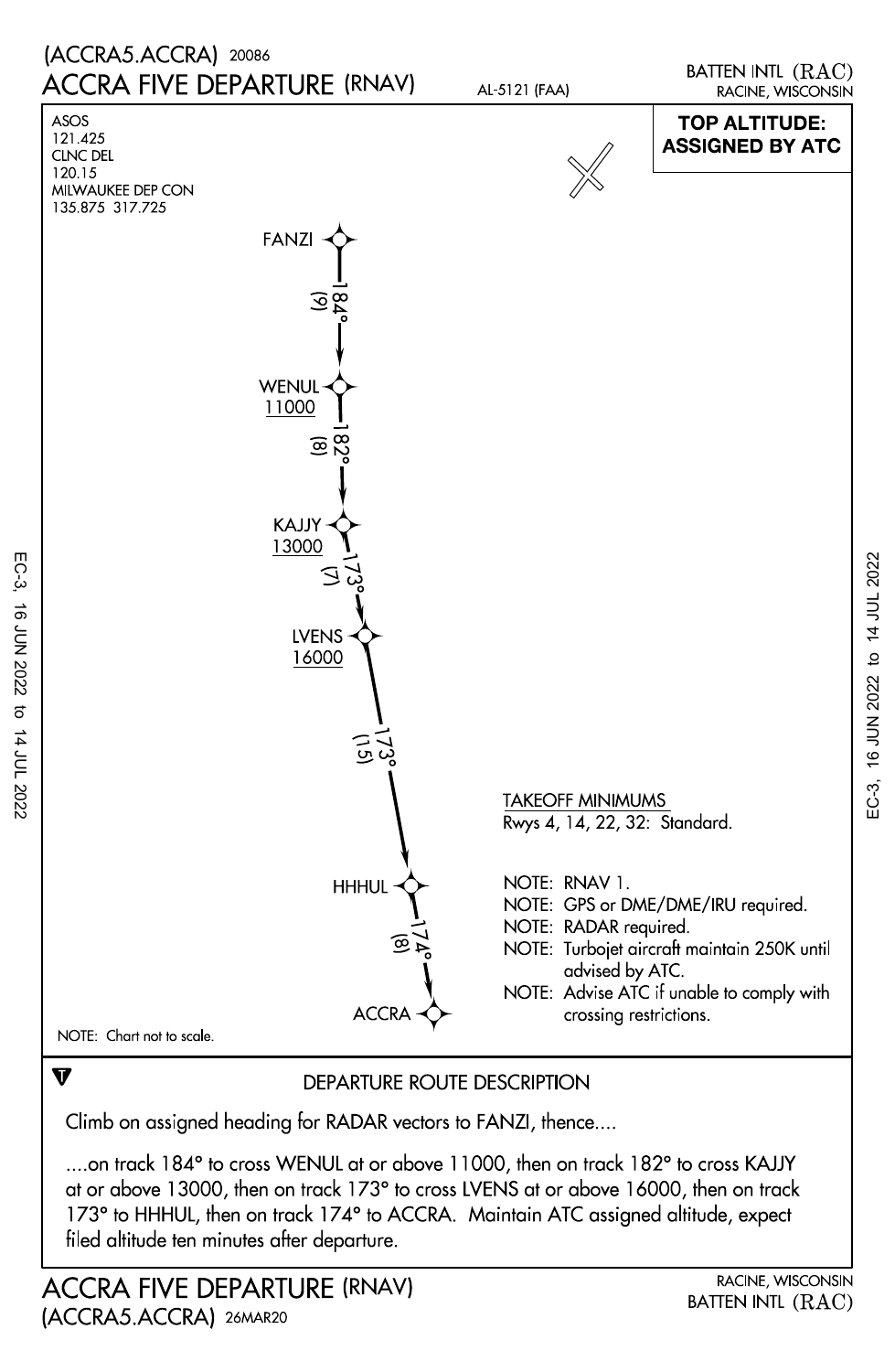

Climb on assigned heading for RADAR vectors to FANZI, thence....

filed altitude ten minutes after departure. 173° to HHHUL, then on track 174° to ACCRA. Maintain ATC assigned altitude, expect at or above 13000, then on track 173° to cross LVENS at or above 16000, then on track ....on track 184° to cross WENUL at or above 11000, then on track 182° to cross KAJJY

EC-3, 16 JUN 2022 to 14 JUL 2022

14 JUL 2022

16 JUN 2022

EC-3,